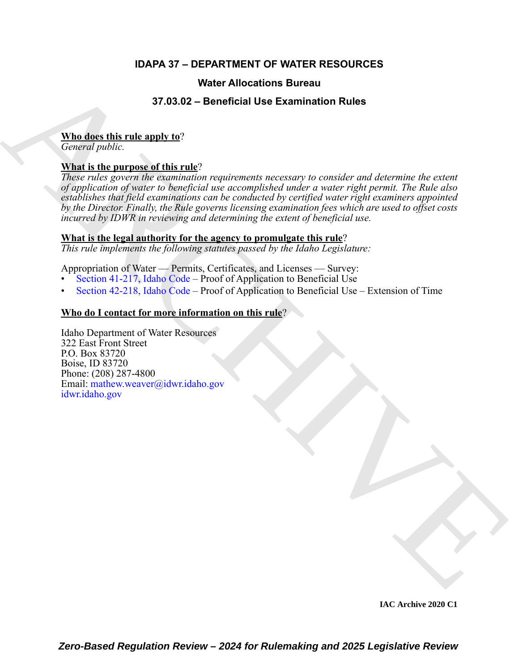# **IDAPA 37 – DEPARTMENT OF WATER RESOURCES**

# **Water Allocations Bureau**

# **37.03.02 – Beneficial Use Examination Rules**

# **Who does this rule apply to**?

*General public.*

# **What is the purpose of this rule**?

**37.000 - Bond field Use Examination [R](https://legislature.idaho.gov/statutesrules/idstat/Title42/T42CH2/SECT42-217/)ules**<br> **AR[C](https://legislature.idaho.gov/statutesrules/idstat/Title42/T42CH2/SECT42-218/)[HI](mailto: mathew.weaver@idwr.idaho.gov)[V](https://.idwr.idaho.gov)E TO 30.02 - Bond field Use Examination Rules**<br> **ARCHIVE TO ARCHIVE TO ARCHIVE TO ARCHIVE TO ARCHIVE TO ARCHIVE TO ARCHIVE TO ARCHIVE TO ARCHIVE TO ARCHIVE TO ARCHIVE TO** *These rules govern the examination requirements necessary to consider and determine the extent of application of water to beneficial use accomplished under a water right permit. The Rule also establishes that field examinations can be conducted by certified water right examiners appointed by the Director. Finally, the Rule governs licensing examination fees which are used to offset costs incurred by IDWR in reviewing and determining the extent of beneficial use.*

# **What is the legal authority for the agency to promulgate this rule**?

*This rule implements the following statutes passed by the Idaho Legislature:*

Appropriation of Water — Permits, Certificates, and Licenses — Survey:

- Section 41-217, Idaho Code Proof of Application to Beneficial Use
- Section 42-218, Idaho Code Proof of Application to Beneficial Use Extension of Time

# **Who do I contact for more information on this rule**?

Idaho Department of Water Resources 322 East Front Street P.O. Box 83720 Boise, ID 83720 Phone: (208) 287-4800 Email: mathew.weaver@idwr.idaho.gov idwr.idaho.gov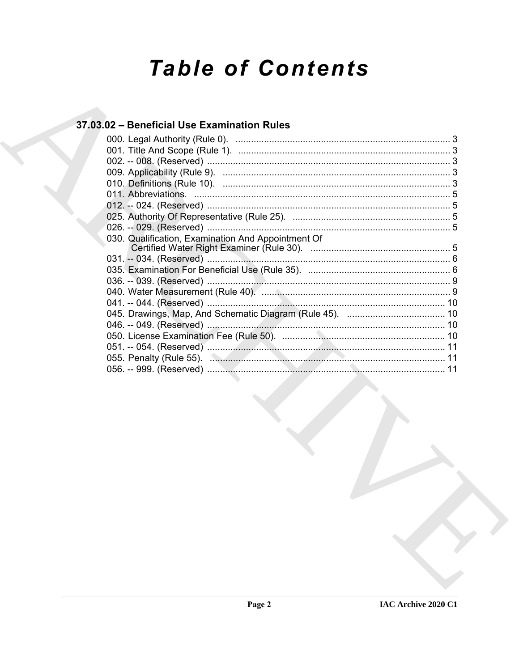# **Table of Contents**

# 37.03.02 - Beneficial Use Examination Rules

| 030. Qualification, Examination And Appointment Of |  |
|----------------------------------------------------|--|
|                                                    |  |
|                                                    |  |
|                                                    |  |
|                                                    |  |
|                                                    |  |
|                                                    |  |
|                                                    |  |
|                                                    |  |
|                                                    |  |
|                                                    |  |
|                                                    |  |
|                                                    |  |
|                                                    |  |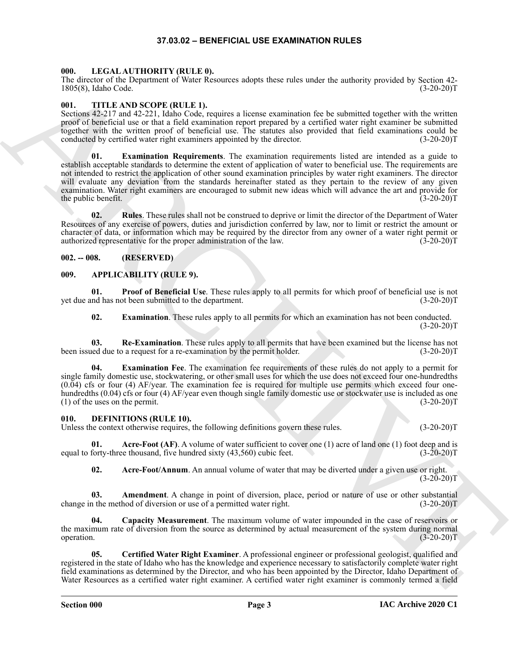# **37.03.02 – BENEFICIAL USE EXAMINATION RULES**

# <span id="page-2-17"></span><span id="page-2-1"></span><span id="page-2-0"></span>**000. LEGAL AUTHORITY (RULE 0).**

The director of the Department of Water Resources adopts these rules under the authority provided by Section 42- 1805(8), Idaho Code. (3-20-20)T

# <span id="page-2-18"></span><span id="page-2-2"></span>**001. TITLE AND SCOPE (RULE 1).**

<span id="page-2-19"></span>Sections 42-217 and 42-221, Idaho Code, requires a license examination fee be submitted together with the written proof of beneficial use or that a field examination report prepared by a certified water right examiner be submitted together with the written proof of beneficial use. The statutes also provided that field examinations could be conducted by certified water right examiners appointed by the director. (3-20-20)T

The Gracial distribution of the Relation of the Relation of the Relation of the South Control of the South Control of the South Control of the South Control of the South Control of the South Control of the South Control o **Examination Requirements**. The examination requirements listed are intended as a guide to establish acceptable standards to determine the extent of application of water to beneficial use. The requirements are not intended to restrict the application of other sound examination principles by water right examiners. The director will evaluate any deviation from the standards hereinafter stated as they pertain to the review of any given examination. Water right examiners are encouraged to submit new ideas which will advance the art and provide for the public benefit. (3-20-20)T

<span id="page-2-20"></span>**02.** Rules. These rules shall not be construed to deprive or limit the director of the Department of Water Resources of any exercise of powers, duties and jurisdiction conferred by law, nor to limit or restrict the amount or character of data, or information which may be required by the director from any owner of a water right permit or authorized representative for the proper administration of the law. (3-20-20)T

# <span id="page-2-3"></span>**002. -- 008. (RESERVED)**

# <span id="page-2-6"></span><span id="page-2-4"></span>**009. APPLICABILITY (RULE 9).**

**01. Proof of Beneficial Use**. These rules apply to all permits for which proof of beneficial use is not yet due and has not been submitted to the department. (3-20-20)T

<span id="page-2-10"></span><span id="page-2-9"></span><span id="page-2-8"></span><span id="page-2-7"></span>**02. Examination**. These rules apply to all permits for which an examination has not been conducted.  $(3-20-20)T$ 

**03. Re-Examination**. These rules apply to all permits that have been examined but the license has not been issued due to a request for a re-examination by the permit holder. (3-20-20)T

**04. Examination Fee**. The examination fee requirements of these rules do not apply to a permit for single family domestic use, stockwatering, or other small uses for which the use does not exceed four one-hundredths (0.04) cfs or four (4) AF/year. The examination fee is required for multiple use permits which exceed four onehundredths (0.04) cfs or four (4) AF/year even though single family domestic use or stockwater use is included as one (1) of the uses on the permit.  $(3-20-20)T$ 

## <span id="page-2-11"></span><span id="page-2-5"></span>**010. DEFINITIONS (RULE 10).**

Unless the context otherwise requires, the following definitions govern these rules. (3-20-20)T

**Acre-Foot (AF).** A volume of water sufficient to cover one (1) acre of land one (1) foot deep and is equal to forty-three thousand, five hundred sixty (43,560) cubic feet. (3-20-20)T

<span id="page-2-15"></span><span id="page-2-14"></span><span id="page-2-13"></span><span id="page-2-12"></span>**02. Acre-Foot/Annum**. An annual volume of water that may be diverted under a given use or right.  $(3-20-20)T$ 

**03.** Amendment. A change in point of diversion, place, period or nature of use or other substantial in the method of diversion or use of a permitted water right. (3-20-20)<sup>T</sup> change in the method of diversion or use of a permitted water right.

**04. Capacity Measurement**. The maximum volume of water impounded in the case of reservoirs or the maximum rate of diversion from the source as determined by actual measurement of the system during normal operation. (3-20-20) operation.  $(3\overline{-}20-20)T$ 

<span id="page-2-16"></span>**05. Certified Water Right Examiner**. A professional engineer or professional geologist, qualified and registered in the state of Idaho who has the knowledge and experience necessary to satisfactorily complete water right field examinations as determined by the Director, and who has been appointed by the Director, Idaho Department of Water Resources as a certified water right examiner. A certified water right examiner is commonly termed a field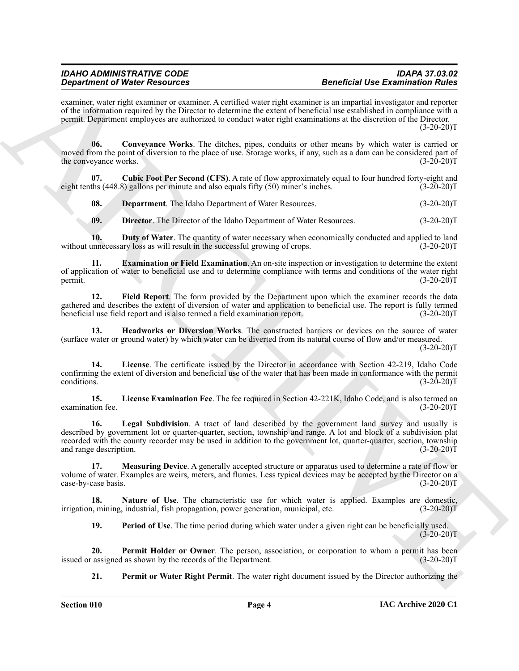examiner, water right examiner or examiner. A certified water right examiner is an impartial investigator and reporter of the information required by the Director to determine the extent of beneficial use established in compliance with a permit. Department employees are authorized to conduct water right examinations at the discretion of the Director.  $(3-20-20)T$ 

<span id="page-3-0"></span>**06. Conveyance Works**. The ditches, pipes, conduits or other means by which water is carried or moved from the point of diversion to the place of use. Storage works, if any, such as a dam can be considered part of the conveyance works. (3-20-20) the conveyance works.

**07.** Cubic Foot Per Second (CFS). A rate of flow approximately equal to four hundred forty-eight and ths (448.8) gallons per minute and also equals fifty (50) miner's inches. (3-20-20) eight tenths  $(448.8)$  gallons per minute and also equals fifty  $(50)$  miner's inches.

<span id="page-3-2"></span><span id="page-3-1"></span>**08. Department**. The Idaho Department of Water Resources. (3-20-20)T

<span id="page-3-5"></span><span id="page-3-4"></span><span id="page-3-3"></span>**09. Director**. The Director of the Idaho Department of Water Resources. (3-20-20)T

10. **Duty of Water**. The quantity of water necessary when economically conducted and applied to land without unnecessary loss as will result in the successful growing of crops.  $(3-20-20)$ T

**11. Examination or Field Examination**. An on-site inspection or investigation to determine the extent of application of water to beneficial use and to determine compliance with terms and conditions of the water right permit. (3-20-20) permit.  $(3-20-20)T$ 

<span id="page-3-6"></span>**12. Field Report**. The form provided by the Department upon which the examiner records the data gathered and describes the extent of diversion of water and application to beneficial use. The report is fully termed<br>beneficial use field report and is also termed a field examination report. (3-20-20)  $\bar{b}$ eneficial use field report and is also termed a field examination report.

<span id="page-3-7"></span>**13. Headworks or Diversion Works**. The constructed barriers or devices on the source of water (surface water or ground water) by which water can be diverted from its natural course of flow and/or measured.

 $(3-20-20)T$ 

<span id="page-3-9"></span>**14. License**. The certificate issued by the Director in accordance with Section 42-219, Idaho Code confirming the extent of diversion and beneficial use of the water that has been made in conformance with the permit conditions.  $(3-2\overline{0}-20)\text{T}$ 

<span id="page-3-10"></span><span id="page-3-8"></span>**15. License Examination Fee**. The fee required in Section 42-221K, Idaho Code, and is also termed an examination fee.

**Experiment of Nicely Resolution** Actualist with the statistical statistical techniques of the Exchange of the Control Matter Control Matter Control Matter Control Matter Control Matter Control Matter Control Matter Contr **16. Legal Subdivision**. A tract of land described by the government land survey and usually is described by government lot or quarter-quarter, section, township and range. A lot and block of a subdivision plat recorded with the county recorder may be used in addition to the government lot, quarter-quarter, section, township and range description. (3-20-20)T

<span id="page-3-11"></span>**17. Measuring Device**. A generally accepted structure or apparatus used to determine a rate of flow or volume of water. Examples are weirs, meters, and flumes. Less typical devices may be accepted by the Director on a case-by-case basis. (3-20-20) case-by-case basis.

**18. Nature of Use**. The characteristic use for which water is applied. Examples are domestic, irrigation, mining, industrial, fish propagation, power generation, municipal, etc. (3-20-20)T

<span id="page-3-14"></span><span id="page-3-13"></span><span id="page-3-12"></span>**19. Period of Use**. The time period during which water under a given right can be beneficially used.  $(3-20-20)T$ 

**20. Permit Holder or Owner**. The person, association, or corporation to whom a permit has been assigned as shown by the records of the Department. (3-20-20) issued or assigned as shown by the records of the Department.

<span id="page-3-15"></span>**21. Permit or Water Right Permit**. The water right document issued by the Director authorizing the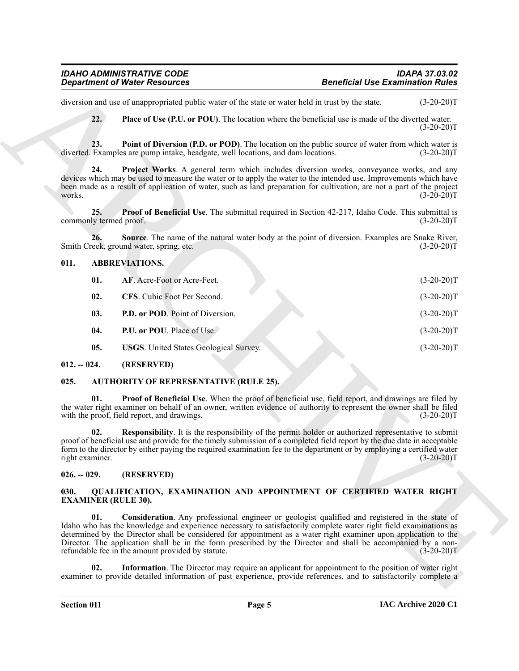# <span id="page-4-18"></span><span id="page-4-17"></span><span id="page-4-16"></span><span id="page-4-8"></span><span id="page-4-7"></span><span id="page-4-6"></span><span id="page-4-5"></span><span id="page-4-0"></span>**011. ABBREVIATIONS.**

<span id="page-4-15"></span><span id="page-4-14"></span>

|                                    | <b>Department of Water Resources</b>                                                                                                                                                                                                                                                                                                                                                                                                                                                                         | <b>Beneficial Use Examination Rules</b> |              |
|------------------------------------|--------------------------------------------------------------------------------------------------------------------------------------------------------------------------------------------------------------------------------------------------------------------------------------------------------------------------------------------------------------------------------------------------------------------------------------------------------------------------------------------------------------|-----------------------------------------|--------------|
|                                    | diversion and use of unappropriated public water of the state or water held in trust by the state.                                                                                                                                                                                                                                                                                                                                                                                                           |                                         | $(3-20-20)T$ |
| 22.                                | Place of Use (P.U. or POU). The location where the beneficial use is made of the diverted water.                                                                                                                                                                                                                                                                                                                                                                                                             |                                         | $(3-20-20)T$ |
| 23.                                | Point of Diversion (P.D. or POD). The location on the public source of water from which water is<br>diverted. Examples are pump intake, headgate, well locations, and dam locations.                                                                                                                                                                                                                                                                                                                         |                                         | $(3-20-20)T$ |
| 24.<br>works.                      | Project Works. A general term which includes diversion works, conveyance works, and any<br>devices which may be used to measure the water or to apply the water to the intended use. Improvements which have<br>been made as a result of application of water, such as land preparation for cultivation, are not a part of the project                                                                                                                                                                       |                                         | $(3-20-20)T$ |
| 25.<br>commonly termed proof.      | <b>Proof of Beneficial Use</b> . The submittal required in Section 42-217, Idaho Code. This submittal is                                                                                                                                                                                                                                                                                                                                                                                                     |                                         | $(3-20-20)T$ |
| 26.                                | Source. The name of the natural water body at the point of diversion. Examples are Snake River,<br>Smith Creek, ground water, spring, etc.                                                                                                                                                                                                                                                                                                                                                                   |                                         | $(3-20-20)T$ |
| 011.                               | <b>ABBREVIATIONS.</b>                                                                                                                                                                                                                                                                                                                                                                                                                                                                                        |                                         |              |
| 01.                                | AF. Acre-Foot or Acre-Feet.                                                                                                                                                                                                                                                                                                                                                                                                                                                                                  |                                         | $(3-20-20)T$ |
| 02.                                | CFS. Cubic Foot Per Second.                                                                                                                                                                                                                                                                                                                                                                                                                                                                                  |                                         | $(3-20-20)T$ |
| 03.                                | P.D. or POD. Point of Diversion.                                                                                                                                                                                                                                                                                                                                                                                                                                                                             |                                         | $(3-20-20)T$ |
| 04.                                | P.U. or POU. Place of Use.                                                                                                                                                                                                                                                                                                                                                                                                                                                                                   |                                         | $(3-20-20)T$ |
| 05.                                | <b>USGS.</b> United States Geological Survey.                                                                                                                                                                                                                                                                                                                                                                                                                                                                |                                         | $(3-20-20)T$ |
| $012. - 024.$                      | (RESERVED)                                                                                                                                                                                                                                                                                                                                                                                                                                                                                                   |                                         |              |
| 025.                               | <b>AUTHORITY OF REPRESENTATIVE (RULE 25).</b>                                                                                                                                                                                                                                                                                                                                                                                                                                                                |                                         |              |
| 01.                                | Proof of Beneficial Use. When the proof of beneficial use, field report, and drawings are filed by<br>the water right examiner on behalf of an owner, written evidence of authority to represent the owner shall be filed<br>with the proof, field report, and drawings.                                                                                                                                                                                                                                     |                                         | $(3-20-20)T$ |
| 02.<br>right examiner.             | <b>Responsibility.</b> It is the responsibility of the permit holder or authorized representative to submit<br>proof of beneficial use and provide for the timely submission of a completed field report by the due date in acceptable<br>form to the director by either paying the required examination fee to the department or by employing a certified water                                                                                                                                             |                                         | $(3-20-20)T$ |
| $026. - 029.$                      | (RESERVED)                                                                                                                                                                                                                                                                                                                                                                                                                                                                                                   |                                         |              |
| 030.<br><b>EXAMINER (RULE 30).</b> | QUALIFICATION, EXAMINATION AND APPOINTMENT OF CERTIFIED WATER RIGHT                                                                                                                                                                                                                                                                                                                                                                                                                                          |                                         |              |
| 01.                                | Consideration. Any professional engineer or geologist qualified and registered in the state of<br>Idaho who has the knowledge and experience necessary to satisfactorily complete water right field examinations as<br>determined by the Director shall be considered for appointment as a water right examiner upon application to the<br>Director. The application shall be in the form prescribed by the Director and shall be accompanied by a non-<br>refundable fee in the amount provided by statute. |                                         | $(3-20-20)T$ |
|                                    |                                                                                                                                                                                                                                                                                                                                                                                                                                                                                                              |                                         |              |

## <span id="page-4-10"></span><span id="page-4-9"></span><span id="page-4-1"></span>**012. -- 024. (RESERVED)**

# <span id="page-4-13"></span><span id="page-4-12"></span><span id="page-4-11"></span><span id="page-4-2"></span>**025. AUTHORITY OF REPRESENTATIVE (RULE 25).**

# <span id="page-4-3"></span>**026. -- 029. (RESERVED)**

# <span id="page-4-21"></span><span id="page-4-20"></span><span id="page-4-19"></span><span id="page-4-4"></span>**030. QUALIFICATION, EXAMINATION AND APPOINTMENT OF CERTIFIED WATER RIGHT EXAMINER (RULE 30).**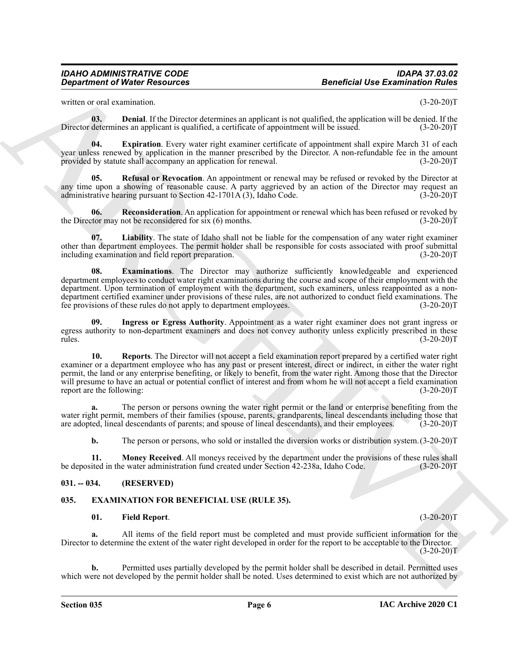<span id="page-5-4"></span>written or oral examination. (3-20-20)<sup>T</sup> (3-20-20)<sup>T</sup>

**03. Denial**. If the Director determines an applicant is not qualified, the application will be denied. If the determines an applicant is qualified, a certificate of appointment will be issued. (3-20-20) Director determines an applicant is qualified, a certificate of appointment will be issued.

<span id="page-5-6"></span>**04. Expiration**. Every water right examiner certificate of appointment shall expire March 31 of each year unless renewed by application in the manner prescribed by the Director. A non-refundable fee in the amount provided by statute shall accompany an application for renewal. (3-20-20) (3-20-20) T

<span id="page-5-11"></span>**Refusal or Revocation**. An appointment or renewal may be refused or revoked by the Director at any time upon a showing of reasonable cause. A party aggrieved by an action of the Director may request an administrative hearing pursuant to Section 42-1701A (3), Idaho Code. (3-20-20)T administrative hearing pursuant to Section  $42-1701\text{\AA}(3)$ , Idaho Code.

<span id="page-5-10"></span>**06. Reconsideration**. An application for appointment or renewal which has been refused or revoked by the Director may not be reconsidered for six (6) months. (3-20-20)T

<span id="page-5-8"></span>**07. Liability**. The state of Idaho shall not be liable for the compensation of any water right examiner other than department employees. The permit holder shall be responsible for costs associated with proof submittal including examination and field report preparation. (3-20-20)T

<span id="page-5-5"></span>**08. Examinations**. The Director may authorize sufficiently knowledgeable and experienced department employees to conduct water right examinations during the course and scope of their employment with the department. Upon termination of employment with the department, such examiners, unless reappointed as a nondepartment certified examiner under provisions of these rules, are not authorized to conduct field examinations. The fee provisions of these rules do not apply to department employees. (3-20-20)T

<span id="page-5-12"></span><span id="page-5-7"></span>**09. Ingress or Egress Authority**. Appointment as a water right examiner does not grant ingress or egress authority to non-department examiners and does not convey authority unless explicitly prescribed in these rules. (3-20-20) rules. (3-20-20)T

General of Neuro Resources<br>
Since the case of the control of the state of the state of the control of the case of the state of the state of the state of the state of the state of the state of the state of the state of the **10. Reports**. The Director will not accept a field examination report prepared by a certified water right examiner or a department employee who has any past or present interest, direct or indirect, in either the water right permit, the land or any enterprise benefiting, or likely to benefit, from the water right. Among those that the Director will presume to have an actual or potential conflict of interest and from whom he will not accept a field examination report are the following: (3-20-20) report are the following:

**a.** The person or persons owning the water right permit or the land or enterprise benefiting from the water right permit, members of their families (spouse, parents, grandparents, lineal descendants including those that are adopted, lineal descendants of parents; and spouse of lineal descendants), and their employees. (3-20-20)T

<span id="page-5-9"></span>**b.** The person or persons, who sold or installed the diversion works or distribution system.  $(3-20-20)T$ 

**11. Money Received**. All moneys received by the department under the provisions of these rules shall ited in the water administration fund created under Section 42-238a, Idaho Code. (3-20-20)T be deposited in the water administration fund created under Section 42-238a, Idaho Code.

# <span id="page-5-0"></span>**031. -- 034. (RESERVED)**

# <span id="page-5-1"></span>**035. EXAMINATION FOR BENEFICIAL USE (RULE 35).**

## <span id="page-5-3"></span><span id="page-5-2"></span>**01. Field Report**. (3-20-20)T

**a.** All items of the field report must be completed and must provide sufficient information for the Director to determine the extent of the water right developed in order for the report to be acceptable to the Director.  $(3-20-20)$ T

**b.** Permitted uses partially developed by the permit holder shall be described in detail. Permitted uses which were not developed by the permit holder shall be noted. Uses determined to exist which are not authorized by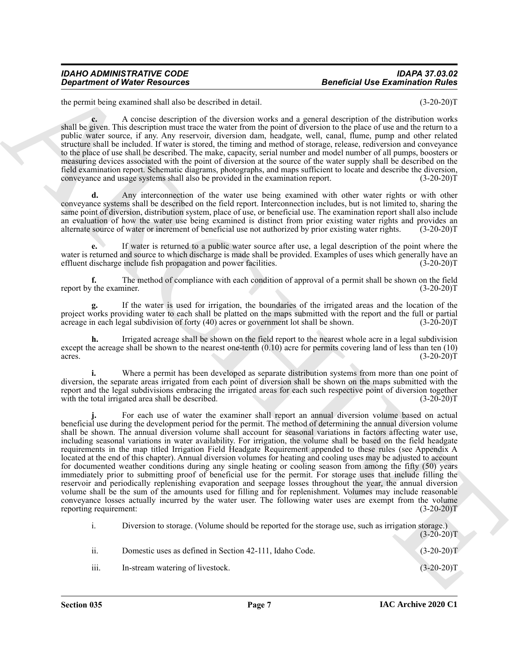# *IDAHO ADMINISTRATIVE CODE IDAPA 37.03.02 Department of Water Resources Beneficial Use Examination Rules*

the permit being examined shall also be described in detail. (3-20-20)T

**c.** A concise description of the diversion works and a general description of the distribution works shall be given. This description must trace the water from the point of diversion to the place of use and the return to a public water source, if any. Any reservoir, diversion dam, headgate, well, canal, flume, pump and other related structure shall be included. If water is stored, the timing and method of storage, release, rediversion and conveyance to the place of use shall be described. The make, capacity, serial number and model number of all pumps, boosters or measuring devices associated with the point of diversion at the source of the water supply shall be described on the field examination report. Schematic diagrams, photographs, and maps sufficient to locate and describe the diversion, conveyance and usage systems shall also be provided in the examination report. (3-20-20)T

**d.** Any interconnection of the water use being examined with other water rights or with other conveyance systems shall be described on the field report. Interconnection includes, but is not limited to, sharing the same point of diversion, distribution system, place of use, or beneficial use. The examination report shall also include an evaluation of how the water use being examined is distinct from prior existing water rights and provides an alternate source of water or increment of beneficial use not authorized by prior existing water rights. (3-20-20)T

**e.** If water is returned to a public water source after use, a legal description of the point where the water is returned and source to which discharge is made shall be provided. Examples of uses which generally have an effluent discharge include fish propagation and power facilities.  $(3-20-20)T$ 

**f.** The method of compliance with each condition of approval of a permit shall be shown on the field to the examiner. (3-20-20) report by the examiner.

**g.** If the water is used for irrigation, the boundaries of the irrigated areas and the location of the project works providing water to each shall be platted on the maps submitted with the report and the full or partial acreage in each legal subdivision of forty (40) acres or government lot shall be shown. (3-20-20)T

**h.** Irrigated acreage shall be shown on the field report to the nearest whole acre in a legal subdivision except the acreage shall be shown to the nearest one-tenth  $(0.10)$  acre for permits covering land of less than ten  $(10)$  acres.  $(3\n-20\n-20)$ acres.  $(3-20-20)T$ 

**i.** Where a permit has been developed as separate distribution systems from more than one point of diversion, the separate areas irrigated from each point of diversion shall be shown on the maps submitted with the report and the legal subdivisions embracing the irrigated areas for each such respective point of diversion together with the total irrigated area shall be described. (3-20-20)T

**Department of Water Resources<br>
the product of the state state of the formula in which the state state of the state of the state of the state of the state of the state of the state of the state of the state of the state o j.** For each use of water the examiner shall report an annual diversion volume based on actual beneficial use during the development period for the permit. The method of determining the annual diversion volume shall be shown. The annual diversion volume shall account for seasonal variations in factors affecting water use, including seasonal variations in water availability. For irrigation, the volume shall be based on the field headgate requirements in the map titled Irrigation Field Headgate Requirement appended to these rules (see Appendix A located at the end of this chapter). Annual diversion volumes for heating and cooling uses may be adjusted to account for documented weather conditions during any single heating or cooling season from among the fifty (50) years immediately prior to submitting proof of beneficial use for the permit. For storage uses that include filling the reservoir and periodically replenishing evaporation and seepage losses throughout the year, the annual diversion volume shall be the sum of the amounts used for filling and for replenishment. Volumes may include reasonable conveyance losses actually incurred by the water user. The following water uses are exempt from the volume reporting requirement: (3-20-20)T

|      | Diversion to storage. (Volume should be reported for the storage use, such as irrigation storage.) |              |
|------|----------------------------------------------------------------------------------------------------|--------------|
|      |                                                                                                    | $(3-20-20)T$ |
| ii.  | Domestic uses as defined in Section 42-111, Idaho Code.                                            | $(3-20-20)T$ |
| iii. | In-stream watering of livestock.                                                                   | $(3-20-20)T$ |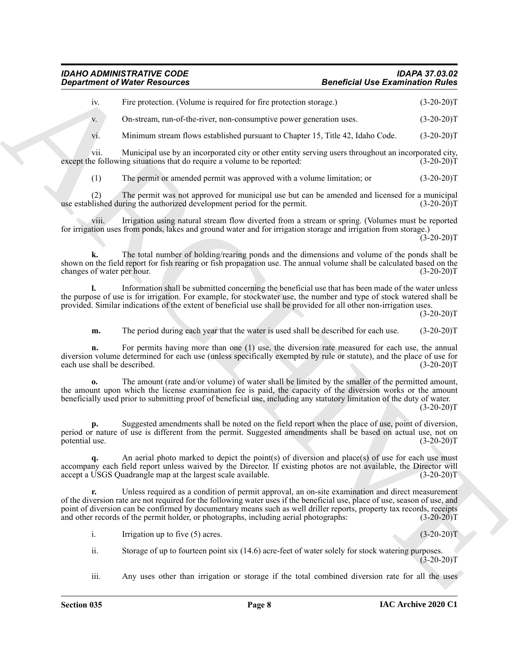# *IDAHO ADMINISTRATIVE CODE IDAPA 37.03.02 Department of Water Resources*

| Fire protection. (Volume is required for fire protection storage.) | $(3-20-20)T$ |
|--------------------------------------------------------------------|--------------|
|--------------------------------------------------------------------|--------------|

v. On-stream, run-of-the-river, non-consumptive power generation uses. (3-20-20)T

vi. Minimum stream flows established pursuant to Chapter 15, Title 42, Idaho Code. (3-20-20)T

vii. Municipal use by an incorporated city or other entity serving users throughout an incorporated city,<br>is following situations that do require a volume to be reported: (3-20-20) except the following situations that do require a volume to be reported:

(1) The permit or amended permit was approved with a volume limitation; or (3-20-20)T

(2) The permit was not approved for municipal use but can be amended and licensed for a municipal lished during the authorized development period for the permit. (3-20-20) use established during the authorized development period for the permit.

viii. Irrigation using natural stream flow diverted from a stream or spring. (Volumes must be reported for irrigation uses from ponds, lakes and ground water and for irrigation storage and irrigation from storage.)  $(3 - 20 - 20)$ T

**k.** The total number of holding/rearing ponds and the dimensions and volume of the ponds shall be shown on the field report for fish rearing or fish propagation use. The annual volume shall be calculated based on the changes of water per hour. (3-20-20)T

**l.** Information shall be submitted concerning the beneficial use that has been made of the water unless the purpose of use is for irrigation. For example, for stockwater use, the number and type of stock watered shall be provided. Similar indications of the extent of beneficial use shall be provided for all other non-irrigation uses.

 $(3-20-20)T$ 

**m.** The period during each year that the water is used shall be described for each use. (3-20-20)T

**n.** For permits having more than one (1) use, the diversion rate measured for each use, the annual diversion volume determined for each use (unless specifically exempted by rule or statute), and the place of use for each use shall be described. (3-20-20)T

**o.** The amount (rate and/or volume) of water shall be limited by the smaller of the permitted amount, the amount upon which the license examination fee is paid, the capacity of the diversion works or the amount beneficially used prior to submitting proof of beneficial use, including any statutory limitation of the duty of water.

 $(3-20-20)T$ 

**p.** Suggested amendments shall be noted on the field report when the place of use, point of diversion, period or nature of use is different from the permit. Suggested amendments shall be based on actual use, not on potential use. (3-20-20)T

**q.** An aerial photo marked to depict the point(s) of diversion and place(s) of use for each use must accompany each field report unless waived by the Director. If existing photos are not available, the Director will accept a USGS Quadrangle map at the largest scale available. (3-20-20)T

**Experiment of Nineter Newsletter,**<br>
The provident (Newsletter Research Experiment and the Desponsion are not the Second Control in the Second Control in the Second Control in the Second Control in the Second Control in t **r.** Unless required as a condition of permit approval, an on-site examination and direct measurement of the diversion rate are not required for the following water uses if the beneficial use, place of use, season of use, and point of diversion can be confirmed by documentary means such as well driller reports, property tax records, receipts and other records of the permit holder, or photographs, including aerial photographs: (3-20-20) and other records of the permit holder, or photographs, including aerial photographs:

i. Irrigation up to five (5) acres. (3-20-20)  $\text{T}$ 

ii. Storage of up to fourteen point six (14.6) acre-feet of water solely for stock watering purposes.  $(3-20-20)$ T

iii. Any uses other than irrigation or storage if the total combined diversion rate for all the uses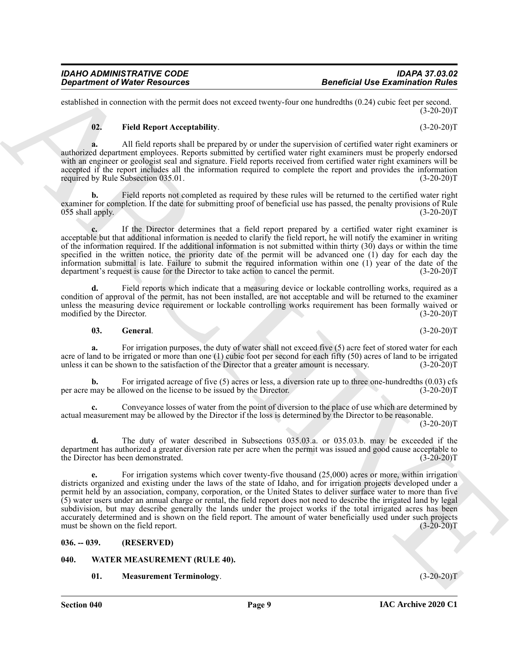established in connection with the permit does not exceed twenty-four one hundredths (0.24) cubic feet per second.  $(3-20-20)T$ 

# <span id="page-8-2"></span>**02. Field Report Acceptability**. (3-20-20)T

**a.** All field reports shall be prepared by or under the supervision of certified water right examiners or authorized department employees. Reports submitted by certified water right examiners must be properly endorsed with an engineer or geologist seal and signature. Field reports received from certified water right examiners will be accepted if the report includes all the information required to complete the report and provides the information required by Rule Subsection 035.01. (3-20-20)T

**b.** Field reports not completed as required by these rules will be returned to the certified water right examiner for completion. If the date for submitting proof of beneficial use has passed, the penalty provisions of Rule 055 shall apply. (3-20-20)T

**c.** If the Director determines that a field report prepared by a certified water right examiner is acceptable but that additional information is needed to clarify the field report, he will notify the examiner in writing of the information required. If the additional information is not submitted within thirty (30) days or within the time specified in the written notice, the priority date of the permit will be advanced one (1) day for each day the information submittal is late. Failure to submit the required information within one (1) year of the date of the department's request is cause for the Director to take action to cancel the permit. (3-20-20)T

**d.** Field reports which indicate that a measuring device or lockable controlling works, required as a condition of approval of the permit, has not been installed, are not acceptable and will be returned to the examiner unless the measuring device requirement or lockable controlling works requirement has been formally waived or modified by the Director. (3-20-20) modified by the Director.

## <span id="page-8-3"></span>**03.** General. (3-20-20)T

**a.** For irrigation purposes, the duty of water shall not exceed five (5) acre feet of stored water for each acre of land to be irrigated or more than one (1) cubic foot per second for each fifty (50) acres of land to be irrigated<br>unless it can be shown to the satisfaction of the Director that a greater amount is necessary. (3-20 unless it can be shown to the satisfaction of the Director that a greater amount is necessary.

**b.** For irrigated acreage of five (5) acres or less, a diversion rate up to three one-hundredths (0.03) cfs may be allowed on the license to be issued by the Director. (3-20-20) per acre may be allowed on the license to be issued by the Director.

**c.** Conveyance losses of water from the point of diversion to the place of use which are determined by actual measurement may be allowed by the Director if the loss is determined by the Director to be reasonable.

 $(3-20-20)T$ 

**d.** The duty of water described in Subsections 035.03.a. or 035.03.b. may be exceeded if the department has authorized a greater diversion rate per acre when the permit was issued and good cause acceptable to the Director has been demonstrated. (3-20-20) the Director has been demonstrated.

**Expansion of Ninter Research entry and the system of the Extension of Ref. 2. This is the system of the system of the system of the system of the system of the system of the system of the system of the system of the syst e.** For irrigation systems which cover twenty-five thousand (25,000) acres or more, within irrigation districts organized and existing under the laws of the state of Idaho, and for irrigation projects developed under a permit held by an association, company, corporation, or the United States to deliver surface water to more than five (5) water users under an annual charge or rental, the field report does not need to describe the irrigated land by legal subdivision, but may describe generally the lands under the project works if the total irrigated acres has been accurately determined and is shown on the field report. The amount of water beneficially used under such projects must be shown on the field report. (3-20-20)T

# <span id="page-8-0"></span>**036. -- 039. (RESERVED)**

- <span id="page-8-5"></span><span id="page-8-4"></span><span id="page-8-1"></span>**040. WATER MEASUREMENT (RULE 40).**
	- **01. Measurement Terminology**. (3-20-20)T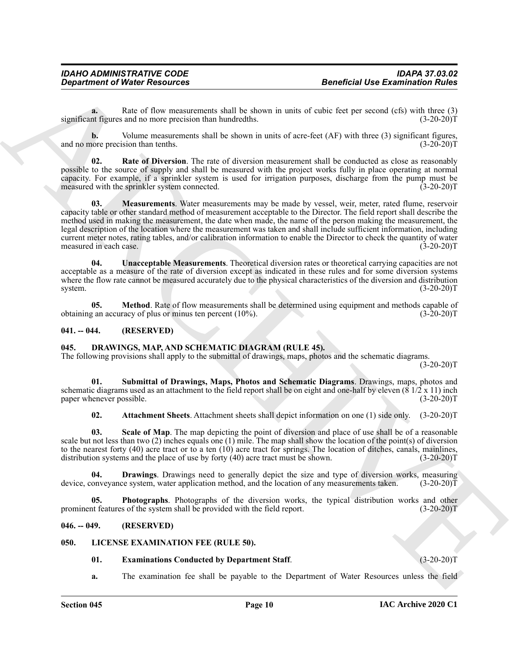**a.** Rate of flow measurements shall be shown in units of cubic feet per second (cfs) with three (3) significant figures and no more precision than hundredths. (3-20-20)T

**b.** Volume measurements shall be shown in units of acre-feet (AF) with three (3) significant figures, and no more precision than tenths. (3-20-20)T

<span id="page-9-14"></span><span id="page-9-12"></span>**02. Rate of Diversion**. The rate of diversion measurement shall be conducted as close as reasonably possible to the source of supply and shall be measured with the project works fully in place operating at normal capacity. For example, if a sprinkler system is used for irrigation purposes, discharge from the pump must be measured with the sprinkler system connected. (3-20-20) measured with the sprinkler system connected.

General of Neiser Research ext. Solid by devention and solid for extending the state of the state of the state of the state of the state of the state of the state of the state of the state of the state of the state of the **03. Measurements**. Water measurements may be made by vessel, weir, meter, rated flume, reservoir capacity table or other standard method of measurement acceptable to the Director. The field report shall describe the method used in making the measurement, the date when made, the name of the person making the measurement, the legal description of the location where the measurement was taken and shall include sufficient information, including current meter notes, rating tables, and/or calibration information to enable the Director to check the quantity of water measured in each case. (3-20-20)T

<span id="page-9-15"></span>**04. Unacceptable Measurements**. Theoretical diversion rates or theoretical carrying capacities are not acceptable as a measure of the rate of diversion except as indicated in these rules and for some diversion systems where the flow rate cannot be measured accurately due to the physical characteristics of the diversion and distribution system. (3-20-20) system. (3-20-20)T

<span id="page-9-13"></span>**05. Method**. Rate of flow measurements shall be determined using equipment and methods capable of g an accuracy of plus or minus ten percent (10%). obtaining an accuracy of plus or minus ten percent  $(10\%)$ .

# <span id="page-9-0"></span>**041. -- 044. (RESERVED)**

# <span id="page-9-4"></span><span id="page-9-1"></span>**045. DRAWINGS, MAP, AND SCHEMATIC DIAGRAM (RULE 45).**

The following provisions shall apply to the submittal of drawings, maps, photos and the schematic diagrams.

 $(3-20-20)T$ 

**01. Submittal of Drawings, Maps, Photos and Schematic Diagrams**. Drawings, maps, photos and schematic diagrams used as an attachment to the field report shall be on eight and one-half by eleven  $(8 \frac{1}{2} \times 11)$  inch paper whenever possible. (3-20-20)T

<span id="page-9-9"></span><span id="page-9-8"></span><span id="page-9-6"></span><span id="page-9-5"></span>**02. Attachment Sheets**. Attachment sheets shall depict information on one (1) side only. (3-20-20)T

**03. Scale of Map**. The map depicting the point of diversion and place of use shall be of a reasonable scale but not less than two (2) inches equals one (1) mile. The map shall show the location of the point(s) of diversion to the nearest forty (40) acre tract or to a ten (10) acre tract for springs. The location of ditches, canals, mainlines, distribution systems and the place of use by forty (40) acre tract must be shown.  $(3-20-20)T$ distribution systems and the place of use by forty  $(40)$  acre tract must be shown.

**04. Drawings**. Drawings need to generally depict the size and type of diversion works, measuring onveyance system, water application method, and the location of any measurements taken. (3-20-20)T device, conveyance system, water application method, and the location of any measurements taken.

<span id="page-9-7"></span>**05. Photographs**. Photographs of the diversion works, the typical distribution works and other prominent features of the system shall be provided with the field report. (3-20-20)T

# <span id="page-9-2"></span>**046. -- 049. (RESERVED)**

## <span id="page-9-3"></span>**050. LICENSE EXAMINATION FEE (RULE 50).**

# <span id="page-9-11"></span><span id="page-9-10"></span>**01. Examinations Conducted by Department Staff**. (3-20-20)T

**a.** The examination fee shall be payable to the Department of Water Resources unless the field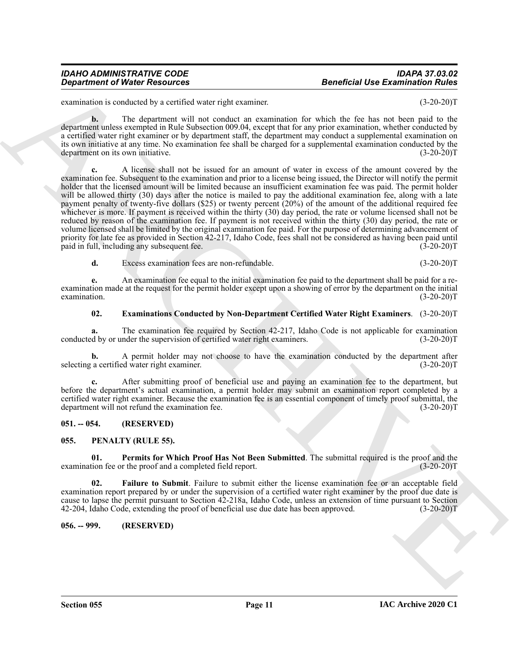**e.** An examination fee equal to the initial examination fee paid to the department shall be paid for a reexamination made at the request for the permit holder except upon a showing of error by the department on the initial examination.  $(3-20-20)T$ 

# <span id="page-10-3"></span>**02. Examinations Conducted by Non-Department Certified Water Right Examiners**. (3-20-20)T

**a.** The examination fee required by Section 42-217, Idaho Code is not applicable for examination d by or under the supervision of certified water right examiners. (3-20-20) conducted by or under the supervision of certified water right examiners.

**b.** A permit holder may not choose to have the examination conducted by the department after selecting a certified water right examiner. (3-20-20)T

**c.** After submitting proof of beneficial use and paying an examination fee to the department, but before the department's actual examination, a permit holder may submit an examination report completed by a certified water right examiner. Because the examination fee is an essential component of timely proof submittal, the department will not refund the examination fee. (3-20-20)T

# <span id="page-10-0"></span>**051. -- 054. (RESERVED)**

# <span id="page-10-4"></span><span id="page-10-1"></span>**055. PENALTY (RULE 55).**

<span id="page-10-6"></span>**01.** Permits for Which Proof Has Not Been Submitted. The submittal required is the proof and the tion fee or the proof and a completed field report. (3-20-20) examination fee or the proof and a completed field report.

<span id="page-10-5"></span>**02. Failure to Submit**. Failure to submit either the license examination fee or an acceptable field examination report prepared by or under the supervision of a certified water right examiner by the proof due date is cause to lapse the permit pursuant to Section 42-218a, Idaho Code, unless an extension of time pursuant to Section 42-204, Idaho Code, extending the proof of beneficial use due date has been approved. (3-20-20)T 42-204, Idaho Code, extending the proof of beneficial use due date has been approved.

# <span id="page-10-2"></span>**056. -- 999. (RESERVED)**

## *IDAHO ADMINISTRATIVE CODE IDAPA 37.03.02 Department of Water Resources Beneficial Use Examination Rules*

examination is conducted by a certified water right examiner. (3-20-20)T

**b.** The department will not conduct an examination for which the fee has not been paid to the department unless exempted in Rule Subsection 009.04, except that for any prior examination, whether conducted by a certified water right examiner or by department staff, the department may conduct a supplemental examination on its own initiative at any time. No examination fee shall be charged for a supplemental examination conducted by the department on its own initiative.

**Expansion of Water Resources<br>
Sensitive Resources<br>
Sensitive Resources<br>
Sensitive Resources<br>
Sensitive Resources<br>
Sensitive Resources<br>
Sensitive Resources<br>
Sensitive Resources<br>
Sensitive Resources<br>
Sensitive Resources<br>
S c.** A license shall not be issued for an amount of water in excess of the amount covered by the examination fee. Subsequent to the examination and prior to a license being issued, the Director will notify the permit holder that the licensed amount will be limited because an insufficient examination fee was paid. The permit holder will be allowed thirty (30) days after the notice is mailed to pay the additional examination fee, along with a late payment penalty of twenty-five dollars (\$25) or twenty percent (20%) of the amount of the additional required fee whichever is more. If payment is received within the thirty (30) day period, the rate or volume licensed shall not be reduced by reason of the examination fee. If payment is not received within the thirty (30) day period, the rate or volume licensed shall be limited by the original examination fee paid. For the purpose of determining advancement of priority for late fee as provided in Section 42-217, Idaho Code, fees shall not be considered as having been paid until paid in full, including any subsequent fee. (3-20-20)T

**d.** Excess examination fees are non-refundable. (3-20-20)T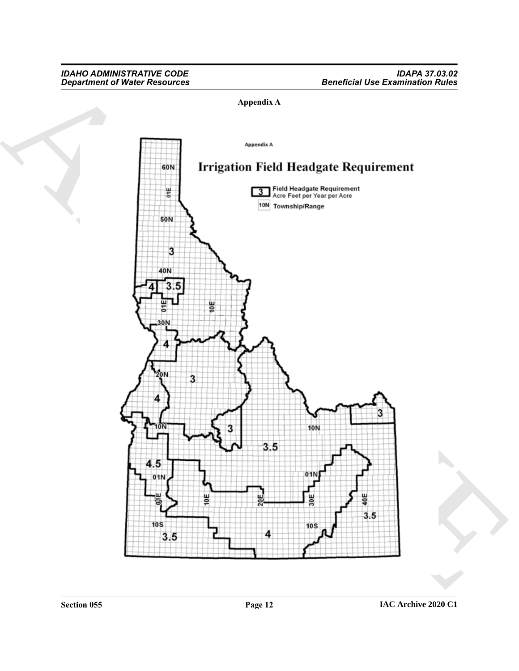# **Appendix A**